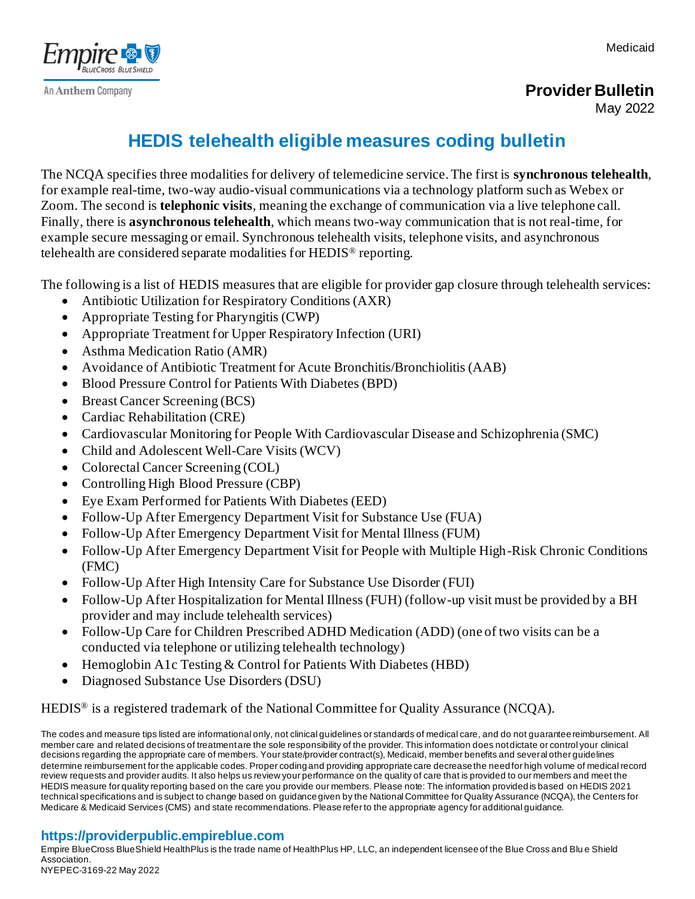Medicaid



**Provider Bulletin**

May 2022

## **HEDIS telehealth eligible measures coding bulletin**

The NCQA specifies three modalities for delivery of telemedicine service. The first is **synchronous telehealth**, for example real-time, two-way audio-visual communications via a technology platform such as Webex or Zoom. The second is **telephonic visits**, meaning the exchange of communication via a live telephone call. Finally, there is **asynchronous telehealth**, which means two-way communication that is not real-time, for example secure messaging or email. Synchronous telehealth visits, telephone visits, and asynchronous telehealth are considered separate modalities for HEDIS® reporting.

The following is a list of HEDIS measures that are eligible for provider gap closure through telehealth services:

- Antibiotic Utilization for Respiratory Conditions (AXR)
- Appropriate Testing for Pharyngitis (CWP)
- Appropriate Treatment for Upper Respiratory Infection (URI)
- Asthma Medication Ratio (AMR)
- Avoidance of Antibiotic Treatment for Acute Bronchitis/Bronchiolitis (AAB)
- Blood Pressure Control for Patients With Diabetes (BPD)
- Breast Cancer Screening (BCS)
- Cardiac Rehabilitation (CRE)
- Cardiovascular Monitoring for People With Cardiovascular Disease and Schizophrenia (SMC)
- Child and Adolescent Well-Care Visits (WCV)
- Colorectal Cancer Screening (COL)
- Controlling High Blood Pressure (CBP)
- Eye Exam Performed for Patients With Diabetes (EED)
- Follow-Up After Emergency Department Visit for Substance Use (FUA)
- Follow-Up After Emergency Department Visit for Mental Illness (FUM)
- Follow-Up After Emergency Department Visit for People with Multiple High-Risk Chronic Conditions (FMC)
- Follow-Up After High Intensity Care for Substance Use Disorder (FUI)
- Follow-Up After Hospitalization for Mental Illness (FUH) (follow-up visit must be provided by a BH provider and may include telehealth services)
- Follow-Up Care for Children Prescribed ADHD Medication (ADD) (one of two visits can be a conducted via telephone or utilizing telehealth technology)
- Hemoglobin A1c Testing & Control for Patients With Diabetes (HBD)
- Diagnosed Substance Use Disorders (DSU)

HEDIS<sup>®</sup> is a registered trademark of the National Committee for Quality Assurance (NCQA).

The codes and measure tips listed are informational only, not clinical guidelines or standards of medical care, and do not guarantee reimbursement. All member care and related decisions of treatment are the sole responsibility of the provider. This information does not dictate or control your clinical decisions regarding the appropriate care of members. Your state/provider contract(s), Medicaid, member benefits and several other guidelines determine reimbursement for the applicable codes. Proper coding and providing appropriate care decrease the need for high volume of medical record review requests and provider audits. It also helps us review your performance on the quality of care that is provided to our members and meet the HEDIS measure for quality reporting based on the care you provide our members. Please note: The information provided is based on HEDIS 2021 technical specifications and is subject to change based on guidance given by the National Committee for Quality Assurance (NCQA), the Centers for Medicare & Medicaid Services (CMS) and state recommendations. Please refer to the appropriate agency for additional guidance.

## **https://providerpublic.empireblue.com**

Empire BlueCross BlueShield HealthPlus is the trade name of HealthPlus HP, LLC, an independent licensee of the Blue Cross and Blu e Shield Association. NYEPEC-3169-22 May 2022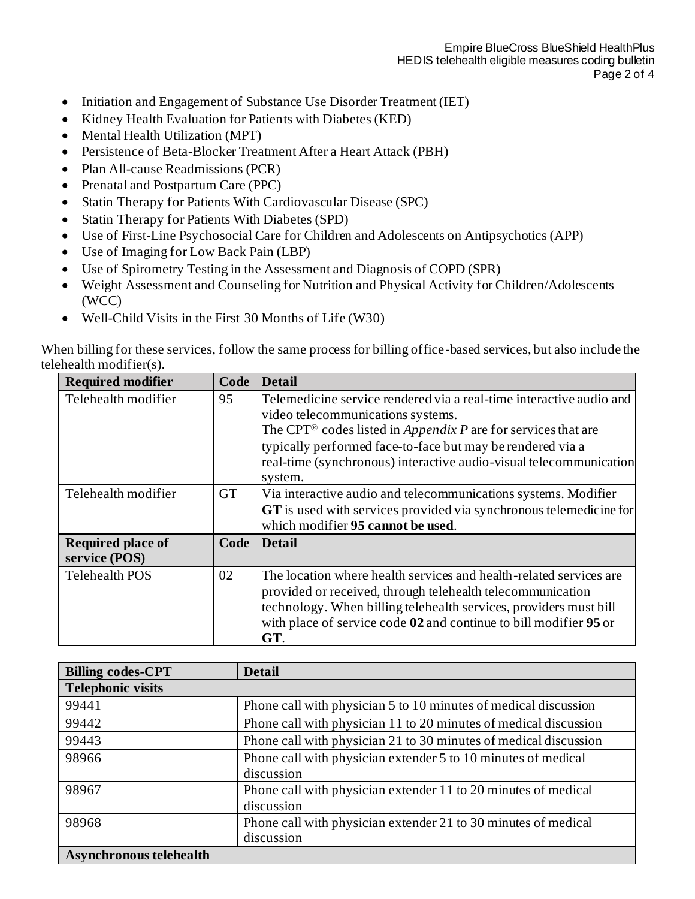- Initiation and Engagement of Substance Use Disorder Treatment (IET)
- Kidney Health Evaluation for Patients with Diabetes (KED)
- Mental Health Utilization (MPT)
- Persistence of Beta-Blocker Treatment After a Heart Attack (PBH)
- Plan All-cause Readmissions (PCR)
- Prenatal and Postpartum Care (PPC)
- Statin Therapy for Patients With Cardiovascular Disease (SPC)
- Statin Therapy for Patients With Diabetes (SPD)
- Use of First-Line Psychosocial Care for Children and Adolescents on Antipsychotics (APP)
- Use of Imaging for Low Back Pain (LBP)
- Use of Spirometry Testing in the Assessment and Diagnosis of COPD (SPR)
- Weight Assessment and Counseling for Nutrition and Physical Activity for Children/Adolescents (WCC)
- Well-Child Visits in the First 30 Months of Life (W30)

When billing for these services, follow the same process for billing office-based services, but also include the telehealth modifier(s).

| <b>Required modifier</b> | Code      | <b>Detail</b>                                                                    |
|--------------------------|-----------|----------------------------------------------------------------------------------|
| Telehealth modifier      | 95        | Telemedicine service rendered via a real-time interactive audio and              |
|                          |           | video telecommunications systems.                                                |
|                          |           | The CPT <sup>®</sup> codes listed in <i>Appendix P</i> are for services that are |
|                          |           | typically performed face-to-face but may be rendered via a                       |
|                          |           | real-time (synchronous) interactive audio-visual telecommunication               |
|                          |           | system.                                                                          |
| Telehealth modifier      | <b>GT</b> | Via interactive audio and telecommunications systems. Modifier                   |
|                          |           | GT is used with services provided via synchronous telemedicine for               |
|                          |           | which modifier 95 cannot be used.                                                |
| <b>Required place of</b> | Code      | <b>Detail</b>                                                                    |
| service (POS)            |           |                                                                                  |
| <b>Telehealth POS</b>    | 02        | The location where health services and health-related services are               |
|                          |           | provided or received, through telehealth telecommunication                       |
|                          |           | technology. When billing telehealth services, providers must bill                |
|                          |           | with place of service code 02 and continue to bill modifier 95 or                |
|                          |           | GT.                                                                              |

| <b>Billing codes-CPT</b>       | <b>Detail</b>                                                    |
|--------------------------------|------------------------------------------------------------------|
| <b>Telephonic visits</b>       |                                                                  |
| 99441                          | Phone call with physician 5 to 10 minutes of medical discussion  |
| 99442                          | Phone call with physician 11 to 20 minutes of medical discussion |
| 99443                          | Phone call with physician 21 to 30 minutes of medical discussion |
| 98966                          | Phone call with physician extender 5 to 10 minutes of medical    |
|                                | discussion                                                       |
| 98967                          | Phone call with physician extender 11 to 20 minutes of medical   |
|                                | discussion                                                       |
| 98968                          | Phone call with physician extender 21 to 30 minutes of medical   |
|                                | discussion                                                       |
| <b>Asynchronous telehealth</b> |                                                                  |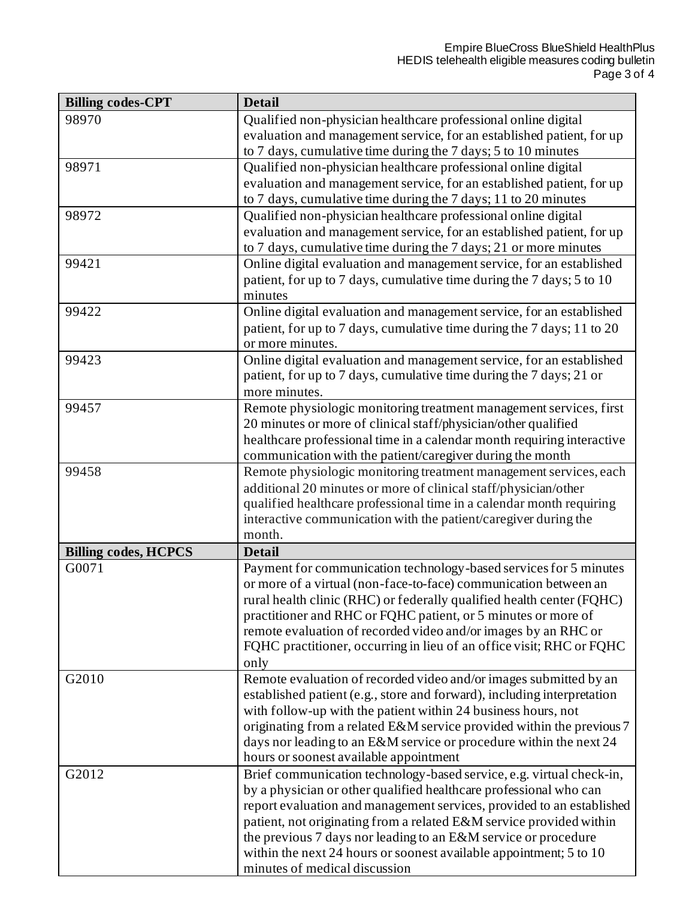J,

| <b>Billing codes-CPT</b>    | <b>Detail</b>                                                           |
|-----------------------------|-------------------------------------------------------------------------|
| 98970                       | Qualified non-physician healthcare professional online digital          |
|                             | evaluation and management service, for an established patient, for up   |
|                             | to 7 days, cumulative time during the 7 days; 5 to 10 minutes           |
| 98971                       | Qualified non-physician healthcare professional online digital          |
|                             | evaluation and management service, for an established patient, for up   |
|                             | to 7 days, cumulative time during the 7 days; 11 to 20 minutes          |
| 98972                       | Qualified non-physician healthcare professional online digital          |
|                             | evaluation and management service, for an established patient, for up   |
|                             | to 7 days, cumulative time during the 7 days; 21 or more minutes        |
| 99421                       | Online digital evaluation and management service, for an established    |
|                             | patient, for up to 7 days, cumulative time during the 7 days; 5 to 10   |
|                             | minutes                                                                 |
| 99422                       | Online digital evaluation and management service, for an established    |
|                             | patient, for up to 7 days, cumulative time during the 7 days; 11 to 20  |
|                             | or more minutes.                                                        |
| 99423                       | Online digital evaluation and management service, for an established    |
|                             | patient, for up to 7 days, cumulative time during the 7 days; 21 or     |
|                             | more minutes.                                                           |
| 99457                       | Remote physiologic monitoring treatment management services, first      |
|                             | 20 minutes or more of clinical staff/physician/other qualified          |
|                             | healthcare professional time in a calendar month requiring interactive  |
|                             | communication with the patient/caregiver during the month               |
| 99458                       | Remote physiologic monitoring treatment management services, each       |
|                             | additional 20 minutes or more of clinical staff/physician/other         |
|                             | qualified healthcare professional time in a calendar month requiring    |
|                             | interactive communication with the patient/caregiver during the         |
|                             | month.                                                                  |
| <b>Billing codes, HCPCS</b> | <b>Detail</b>                                                           |
| G0071                       | Payment for communication technology-based services for 5 minutes       |
|                             | or more of a virtual (non-face-to-face) communication between an        |
|                             | rural health clinic (RHC) or federally qualified health center (FQHC)   |
|                             | practitioner and RHC or FQHC patient, or 5 minutes or more of           |
|                             | remote evaluation of recorded video and/or images by an RHC or          |
|                             | FQHC practitioner, occurring in lieu of an office visit; RHC or FQHC    |
|                             | only                                                                    |
| G2010                       | Remote evaluation of recorded video and/or images submitted by an       |
|                             | established patient (e.g., store and forward), including interpretation |
|                             | with follow-up with the patient within 24 business hours, not           |
|                             | originating from a related E&M service provided within the previous 7   |
|                             | days nor leading to an E&M service or procedure within the next 24      |
|                             | hours or soonest available appointment                                  |
| G2012                       | Brief communication technology-based service, e.g. virtual check-in,    |
|                             | by a physician or other qualified healthcare professional who can       |
|                             | report evaluation and management services, provided to an established   |
|                             | patient, not originating from a related E&M service provided within     |
|                             | the previous 7 days nor leading to an E&M service or procedure          |
|                             | within the next 24 hours or soonest available appointment; 5 to 10      |
|                             | minutes of medical discussion                                           |

Г